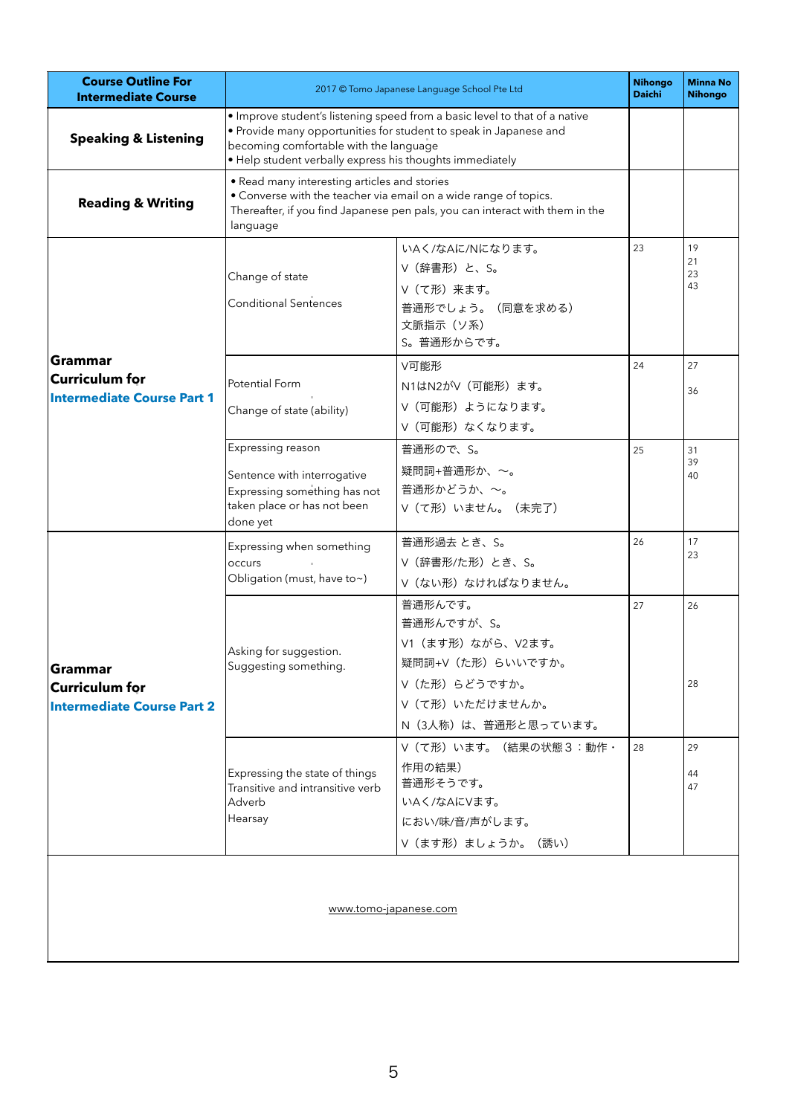| <b>Course Outline For</b><br><b>Intermediate Course</b>               | 2017 © Tomo Japanese Language School Pte Ltd                                                                                                                                                                                                          |                                                                                                                                  | <b>Nihongo</b><br><b>Daichi</b> | <b>Minna No</b><br><b>Nihongo</b> |  |  |  |  |
|-----------------------------------------------------------------------|-------------------------------------------------------------------------------------------------------------------------------------------------------------------------------------------------------------------------------------------------------|----------------------------------------------------------------------------------------------------------------------------------|---------------------------------|-----------------------------------|--|--|--|--|
| <b>Speaking &amp; Listening</b>                                       | · Improve student's listening speed from a basic level to that of a native<br>• Provide many opportunities for student to speak in Japanese and<br>becoming comfortable with the language<br>· Help student verbally express his thoughts immediately |                                                                                                                                  |                                 |                                   |  |  |  |  |
| <b>Reading &amp; Writing</b>                                          | • Read many interesting articles and stories<br>• Converse with the teacher via email on a wide range of topics.<br>Thereafter, if you find Japanese pen pals, you can interact with them in the<br>language                                          |                                                                                                                                  |                                 |                                   |  |  |  |  |
| Grammar<br><b>Curriculum for</b><br><b>Intermediate Course Part 1</b> | Change of state<br><b>Conditional Sentences</b>                                                                                                                                                                                                       | いAく/なAに/Nになります。<br>V (辞書形) と、S。<br>Ⅴ (て形) 来ます。<br>普通形でしょう。 (同意を求める)<br>文脈指示 (ソ系)<br>S。普通形からです。                                   | 23                              | 19<br>21<br>23<br>43              |  |  |  |  |
|                                                                       | Potential Form<br>Change of state (ability)                                                                                                                                                                                                           | V可能形<br>N1はN2がV (可能形) ます。<br>Ⅴ(可能形)ようになります。<br>Ⅴ(可能形)なくなります。                                                                     | 24                              | 27<br>36                          |  |  |  |  |
|                                                                       | Expressing reason<br>Sentence with interrogative<br>Expressing something has not<br>taken place or has not been<br>done yet                                                                                                                           | 普通形ので、S。<br>疑問詞+普通形か、~。<br>普通形かどうか、~。<br>Ⅴ(て形)いません。(未完了)                                                                         | 25                              | 31<br>39<br>40                    |  |  |  |  |
| Grammar<br><b>Curriculum for</b><br><b>Intermediate Course Part 2</b> | Expressing when something<br>occurs<br>Obligation (must, have to~)                                                                                                                                                                                    | 普通形過去 とき、S。<br>V (辞書形/た形) とき、S。<br>Ⅴ(ない形)なければなりません。                                                                              | 26                              | 17<br>23                          |  |  |  |  |
|                                                                       | Asking for suggestion.<br>Suggesting something.                                                                                                                                                                                                       | 普通形んです。<br>普通形んですが、S。<br>V1 (ます形) ながら、V2ます。<br>疑問詞+V (た形) らいいですか。<br>Ⅴ (た形) らどうですか。<br>Ⅴ (て形) いただけませんか。<br>N (3人称) は、普通形と思っています。 | 27                              | 26<br>28                          |  |  |  |  |
|                                                                       | Expressing the state of things<br>Transitive and intransitive verb<br>Adverb<br>Hearsay                                                                                                                                                               | V (て形) います。(結果の状態3:動作·<br>作用の結果)<br>普通形そうです。<br>いAく/なAにVます。<br>におい/味/音/声がします。<br>Ⅴ(ます形)ましょうか。(誘い)                                | 28                              | 29<br>44<br>47                    |  |  |  |  |
| www.tomo-japanese.com                                                 |                                                                                                                                                                                                                                                       |                                                                                                                                  |                                 |                                   |  |  |  |  |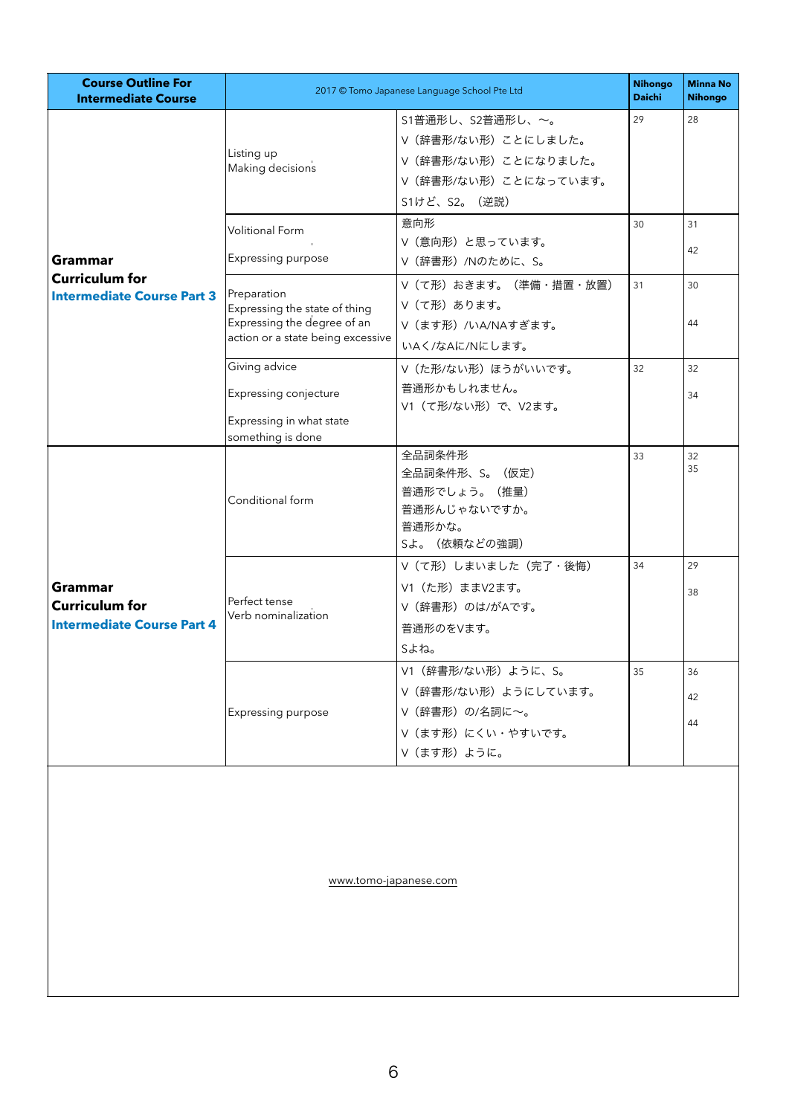| <b>Course Outline For</b><br><b>Intermediate Course</b>                      | 2017 © Tomo Japanese Language School Pte Ltd                                                                     |                                                                                                            | <b>Nihongo</b><br><b>Daichi</b> | <b>Minna No</b><br><b>Nihongo</b> |  |  |  |  |
|------------------------------------------------------------------------------|------------------------------------------------------------------------------------------------------------------|------------------------------------------------------------------------------------------------------------|---------------------------------|-----------------------------------|--|--|--|--|
| <b>Grammar</b><br><b>Curriculum for</b><br><b>Intermediate Course Part 3</b> | Listing up<br>Making decisions                                                                                   | S1普通形し、S2普通形し、~。<br>Ⅴ (辞書形/ない形) ことにしました。<br>Ⅴ(辞書形/ない形)ことになりました。<br>Ⅴ (辞書形/ない形) ことになっています。<br>S1けど、S2。 (逆説) | 29                              | 28                                |  |  |  |  |
|                                                                              | <b>Volitional Form</b><br>Expressing purpose                                                                     | 意向形<br>V(意向形)と思っています。<br>V (辞書形) /Nのために、S。                                                                 | 30                              | 31<br>42                          |  |  |  |  |
|                                                                              | Preparation<br>Expressing the state of thing<br>Expressing the degree of an<br>action or a state being excessive | Ⅴ (て形) おきます。 (準備・措置・放置)<br>Ⅴ(て形)あります。<br>V (ます形) /いA/NAすぎます。<br>いAく/なAに/Nにします。                             | 31                              | 30<br>44                          |  |  |  |  |
|                                                                              | Giving advice<br>Expressing conjecture<br>Expressing in what state                                               | Ⅴ (た形/ない形) ほうがいいです。<br>普通形かもしれません。<br>V1 (て形/ない形) で、V2ます。                                                  | 32                              | 32<br>34                          |  |  |  |  |
| Grammar<br><b>Curriculum for</b><br><b>Intermediate Course Part 4</b>        | something is done<br>Conditional form                                                                            | 全品詞条件形<br>全品詞条件形、S。(仮定)<br>普通形でしょう。 (推量)<br>普通形んじゃないですか。<br>普通形かな。<br>Sよ。(依頼などの強調)                         | 33                              | 32<br>35                          |  |  |  |  |
|                                                                              | Perfect tense<br>Verb nominalization                                                                             | Ⅴ (て形) しまいました (完了・後悔)<br>V1 (た形) ままV2ます。<br>V (辞書形) のは/がAです。<br>普通形のをVます。<br>sよね。                          | 34                              | 29<br>38                          |  |  |  |  |
|                                                                              | Expressing purpose                                                                                               | V1 (辞書形/ない形) ように、S。<br>V (辞書形/ない形) ようにしています。<br>Ⅴ (辞書形) の/名詞に~。<br>Ⅴ (ます形) にくい・やすいです。<br>Ⅴ (ます形) ように。      | 35                              | 36<br>42<br>44                    |  |  |  |  |
| www.tomo-japanese.com                                                        |                                                                                                                  |                                                                                                            |                                 |                                   |  |  |  |  |
|                                                                              |                                                                                                                  |                                                                                                            |                                 |                                   |  |  |  |  |